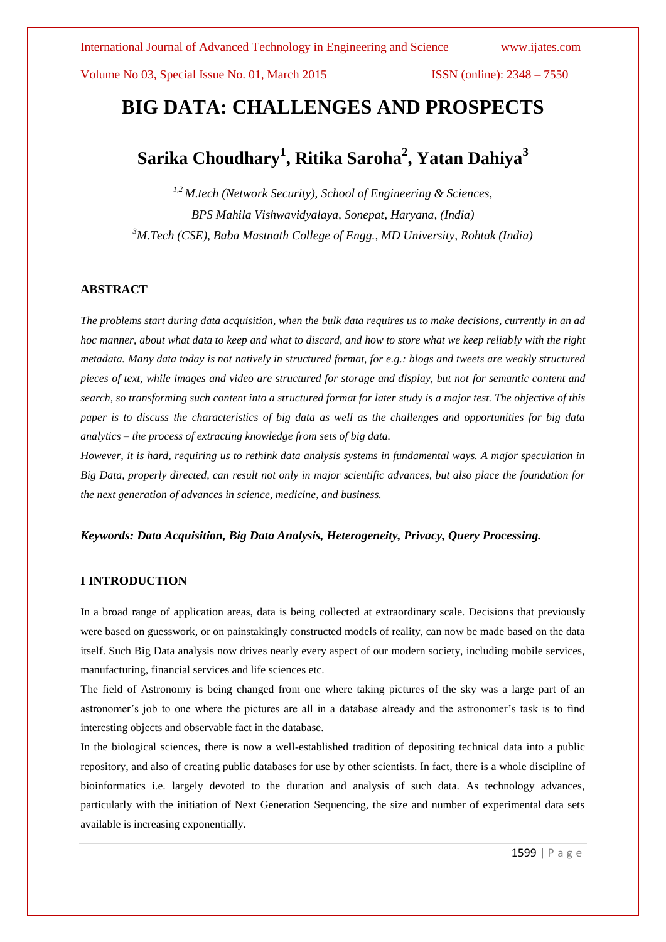# **BIG DATA: CHALLENGES AND PROSPECTS**

# **Sarika Choudhary<sup>1</sup> , Ritika Saroha<sup>2</sup> , Yatan Dahiya<sup>3</sup>**

*1,2 M.tech (Network Security), School of Engineering & Sciences, BPS Mahila Vishwavidyalaya, Sonepat, Haryana, (India) <sup>3</sup>M.Tech (CSE), Baba Mastnath College of Engg., MD University, Rohtak (India)*

# **ABSTRACT**

*The problems start during data acquisition, when the bulk data requires us to make decisions, currently in an ad hoc manner, about what data to keep and what to discard, and how to store what we keep reliably with the right metadata. Many data today is not natively in structured format, for e.g.: blogs and tweets are weakly structured pieces of text, while images and video are structured for storage and display, but not for semantic content and search, so transforming such content into a structured format for later study is a major test. The objective of this paper is to discuss the characteristics of big data as well as the challenges and opportunities for big data analytics – the process of extracting knowledge from sets of big data.*

*However, it is hard, requiring us to rethink data analysis systems in fundamental ways. A major speculation in Big Data, properly directed, can result not only in major scientific advances, but also place the foundation for the next generation of advances in science, medicine, and business.*

# *Keywords: Data Acquisition, Big Data Analysis, Heterogeneity, Privacy, Query Processing.*

# **I INTRODUCTION**

In a broad range of application areas, data is being collected at extraordinary scale. Decisions that previously were based on guesswork, or on painstakingly constructed models of reality, can now be made based on the data itself. Such Big Data analysis now drives nearly every aspect of our modern society, including mobile services, manufacturing, financial services and life sciences etc.

The field of Astronomy is being changed from one where taking pictures of the sky was a large part of an astronomer's job to one where the pictures are all in a database already and the astronomer's task is to find interesting objects and observable fact in the database.

In the biological sciences, there is now a well-established tradition of depositing technical data into a public repository, and also of creating public databases for use by other scientists. In fact, there is a whole discipline of bioinformatics i.e. largely devoted to the duration and analysis of such data. As technology advances, particularly with the initiation of Next Generation Sequencing, the size and number of experimental data sets available is increasing exponentially.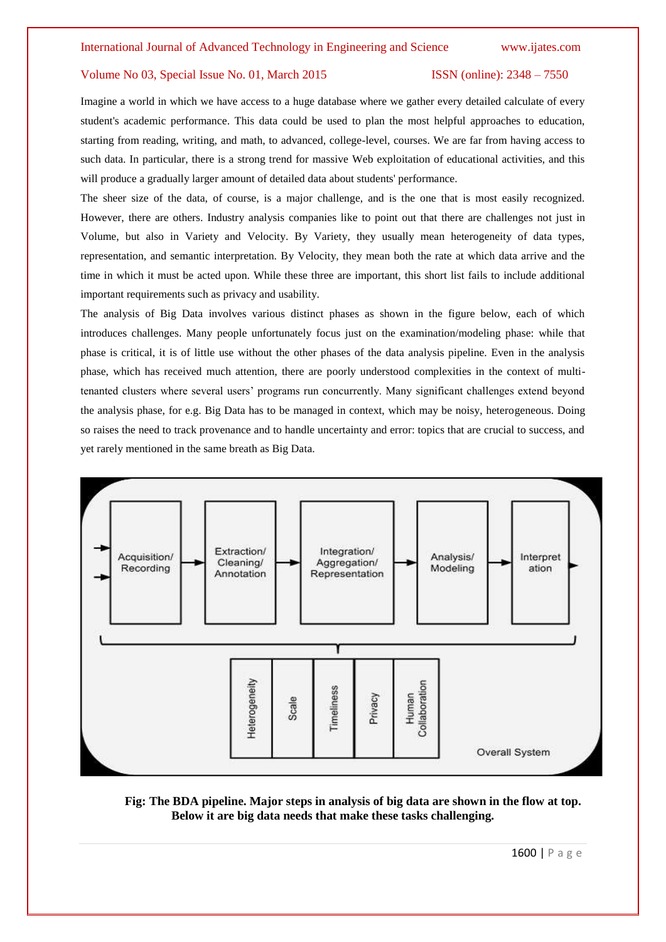Imagine a world in which we have access to a huge database where we gather every detailed calculate of every student's academic performance. This data could be used to plan the most helpful approaches to education, starting from reading, writing, and math, to advanced, college-level, courses. We are far from having access to such data. In particular, there is a strong trend for massive Web exploitation of educational activities, and this will produce a gradually larger amount of detailed data about students' performance.

The sheer size of the data, of course, is a major challenge, and is the one that is most easily recognized. However, there are others. Industry analysis companies like to point out that there are challenges not just in Volume, but also in Variety and Velocity. By Variety, they usually mean heterogeneity of data types, representation, and semantic interpretation. By Velocity, they mean both the rate at which data arrive and the time in which it must be acted upon. While these three are important, this short list fails to include additional important requirements such as privacy and usability.

The analysis of Big Data involves various distinct phases as shown in the figure below, each of which introduces challenges. Many people unfortunately focus just on the examination/modeling phase: while that phase is critical, it is of little use without the other phases of the data analysis pipeline. Even in the analysis phase, which has received much attention, there are poorly understood complexities in the context of multitenanted clusters where several users" programs run concurrently. Many significant challenges extend beyond the analysis phase, for e.g. Big Data has to be managed in context, which may be noisy, heterogeneous. Doing so raises the need to track provenance and to handle uncertainty and error: topics that are crucial to success, and yet rarely mentioned in the same breath as Big Data.



**Fig: The BDA pipeline. Major steps in analysis of big data are shown in the flow at top. Below it are big data needs that make these tasks challenging.**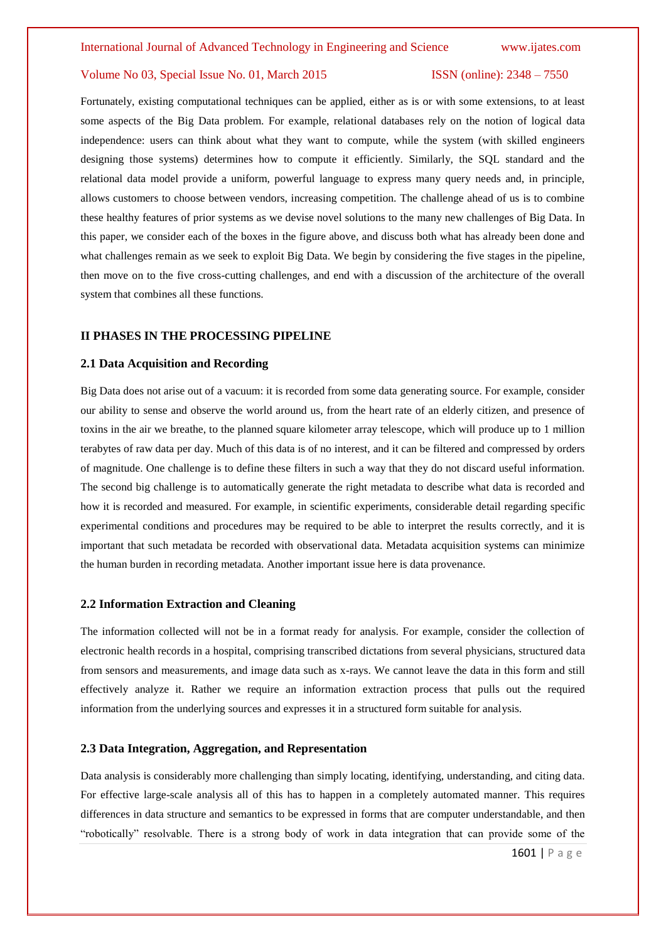Fortunately, existing computational techniques can be applied, either as is or with some extensions, to at least some aspects of the Big Data problem. For example, relational databases rely on the notion of logical data independence: users can think about what they want to compute, while the system (with skilled engineers designing those systems) determines how to compute it efficiently. Similarly, the SQL standard and the relational data model provide a uniform, powerful language to express many query needs and, in principle, allows customers to choose between vendors, increasing competition. The challenge ahead of us is to combine these healthy features of prior systems as we devise novel solutions to the many new challenges of Big Data. In this paper, we consider each of the boxes in the figure above, and discuss both what has already been done and what challenges remain as we seek to exploit Big Data. We begin by considering the five stages in the pipeline, then move on to the five cross-cutting challenges, and end with a discussion of the architecture of the overall system that combines all these functions.

# **II PHASES IN THE PROCESSING PIPELINE**

### **2.1 Data Acquisition and Recording**

Big Data does not arise out of a vacuum: it is recorded from some data generating source. For example, consider our ability to sense and observe the world around us, from the heart rate of an elderly citizen, and presence of toxins in the air we breathe, to the planned square kilometer array telescope, which will produce up to 1 million terabytes of raw data per day. Much of this data is of no interest, and it can be filtered and compressed by orders of magnitude. One challenge is to define these filters in such a way that they do not discard useful information. The second big challenge is to automatically generate the right metadata to describe what data is recorded and how it is recorded and measured. For example, in scientific experiments, considerable detail regarding specific experimental conditions and procedures may be required to be able to interpret the results correctly, and it is important that such metadata be recorded with observational data. Metadata acquisition systems can minimize the human burden in recording metadata. Another important issue here is data provenance.

### **2.2 Information Extraction and Cleaning**

The information collected will not be in a format ready for analysis. For example, consider the collection of electronic health records in a hospital, comprising transcribed dictations from several physicians, structured data from sensors and measurements, and image data such as x-rays. We cannot leave the data in this form and still effectively analyze it. Rather we require an information extraction process that pulls out the required information from the underlying sources and expresses it in a structured form suitable for analysis.

# **2.3 Data Integration, Aggregation, and Representation**

Data analysis is considerably more challenging than simply locating, identifying, understanding, and citing data. For effective large-scale analysis all of this has to happen in a completely automated manner. This requires differences in data structure and semantics to be expressed in forms that are computer understandable, and then "robotically" resolvable. There is a strong body of work in data integration that can provide some of the

1601 | P a g e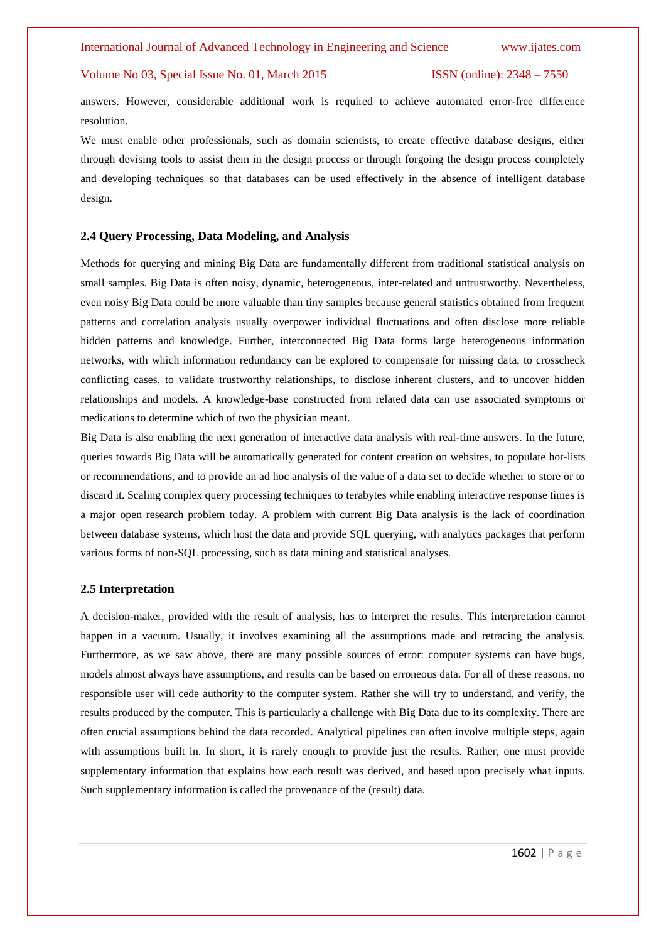answers. However, considerable additional work is required to achieve automated error-free difference resolution.

We must enable other professionals, such as domain scientists, to create effective database designs, either through devising tools to assist them in the design process or through forgoing the design process completely and developing techniques so that databases can be used effectively in the absence of intelligent database design.

#### **2.4 Query Processing, Data Modeling, and Analysis**

Methods for querying and mining Big Data are fundamentally different from traditional statistical analysis on small samples. Big Data is often noisy, dynamic, heterogeneous, inter-related and untrustworthy. Nevertheless, even noisy Big Data could be more valuable than tiny samples because general statistics obtained from frequent patterns and correlation analysis usually overpower individual fluctuations and often disclose more reliable hidden patterns and knowledge. Further, interconnected Big Data forms large heterogeneous information networks, with which information redundancy can be explored to compensate for missing data, to crosscheck conflicting cases, to validate trustworthy relationships, to disclose inherent clusters, and to uncover hidden relationships and models. A knowledge-base constructed from related data can use associated symptoms or medications to determine which of two the physician meant.

Big Data is also enabling the next generation of interactive data analysis with real-time answers. In the future, queries towards Big Data will be automatically generated for content creation on websites, to populate hot-lists or recommendations, and to provide an ad hoc analysis of the value of a data set to decide whether to store or to discard it. Scaling complex query processing techniques to terabytes while enabling interactive response times is a major open research problem today. A problem with current Big Data analysis is the lack of coordination between database systems, which host the data and provide SQL querying, with analytics packages that perform various forms of non-SQL processing, such as data mining and statistical analyses.

### **2.5 Interpretation**

A decision-maker, provided with the result of analysis, has to interpret the results. This interpretation cannot happen in a vacuum. Usually, it involves examining all the assumptions made and retracing the analysis. Furthermore, as we saw above, there are many possible sources of error: computer systems can have bugs, models almost always have assumptions, and results can be based on erroneous data. For all of these reasons, no responsible user will cede authority to the computer system. Rather she will try to understand, and verify, the results produced by the computer. This is particularly a challenge with Big Data due to its complexity. There are often crucial assumptions behind the data recorded. Analytical pipelines can often involve multiple steps, again with assumptions built in. In short, it is rarely enough to provide just the results. Rather, one must provide supplementary information that explains how each result was derived, and based upon precisely what inputs. Such supplementary information is called the provenance of the (result) data.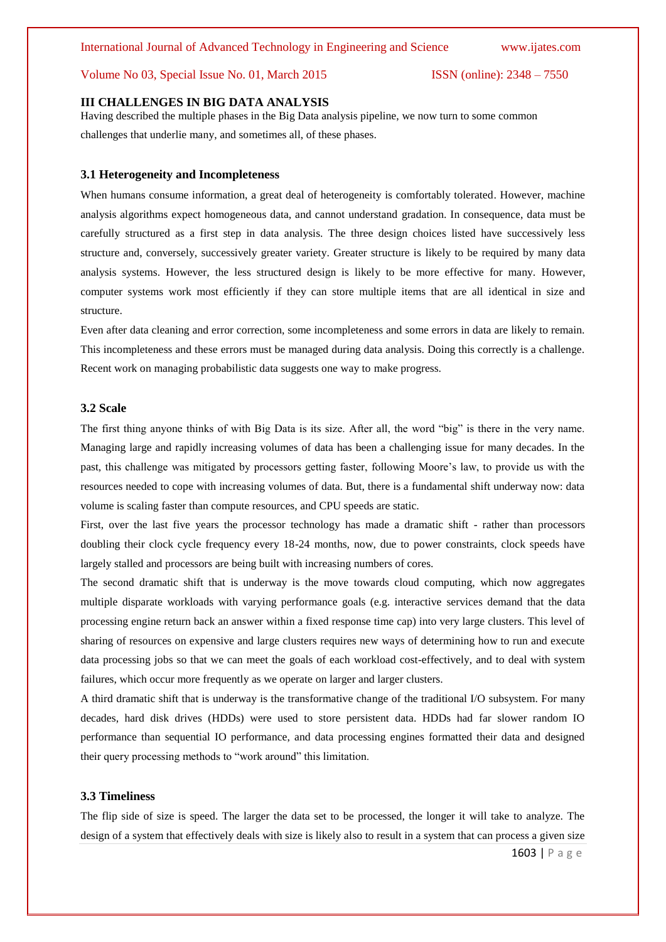### International Journal of Advanced Technology in Engineering and Science www.ijates.com

Volume No 03, Special Issue No. 01, March 2015 ISSN (online): 2348 – 7550

#### **III CHALLENGES IN BIG DATA ANALYSIS**

Having described the multiple phases in the Big Data analysis pipeline, we now turn to some common challenges that underlie many, and sometimes all, of these phases.

#### **3.1 Heterogeneity and Incompleteness**

When humans consume information, a great deal of heterogeneity is comfortably tolerated. However, machine analysis algorithms expect homogeneous data, and cannot understand gradation. In consequence, data must be carefully structured as a first step in data analysis. The three design choices listed have successively less structure and, conversely, successively greater variety. Greater structure is likely to be required by many data analysis systems. However, the less structured design is likely to be more effective for many. However, computer systems work most efficiently if they can store multiple items that are all identical in size and structure.

Even after data cleaning and error correction, some incompleteness and some errors in data are likely to remain. This incompleteness and these errors must be managed during data analysis. Doing this correctly is a challenge. Recent work on managing probabilistic data suggests one way to make progress.

#### **3.2 Scale**

The first thing anyone thinks of with Big Data is its size. After all, the word "big" is there in the very name. Managing large and rapidly increasing volumes of data has been a challenging issue for many decades. In the past, this challenge was mitigated by processors getting faster, following Moore"s law, to provide us with the resources needed to cope with increasing volumes of data. But, there is a fundamental shift underway now: data volume is scaling faster than compute resources, and CPU speeds are static.

First, over the last five years the processor technology has made a dramatic shift - rather than processors doubling their clock cycle frequency every 18-24 months, now, due to power constraints, clock speeds have largely stalled and processors are being built with increasing numbers of cores.

The second dramatic shift that is underway is the move towards cloud computing, which now aggregates multiple disparate workloads with varying performance goals (e.g. interactive services demand that the data processing engine return back an answer within a fixed response time cap) into very large clusters. This level of sharing of resources on expensive and large clusters requires new ways of determining how to run and execute data processing jobs so that we can meet the goals of each workload cost-effectively, and to deal with system failures, which occur more frequently as we operate on larger and larger clusters.

A third dramatic shift that is underway is the transformative change of the traditional I/O subsystem. For many decades, hard disk drives (HDDs) were used to store persistent data. HDDs had far slower random IO performance than sequential IO performance, and data processing engines formatted their data and designed their query processing methods to "work around" this limitation.

# **3.3 Timeliness**

The flip side of size is speed. The larger the data set to be processed, the longer it will take to analyze. The design of a system that effectively deals with size is likely also to result in a system that can process a given size

1603 | P a g e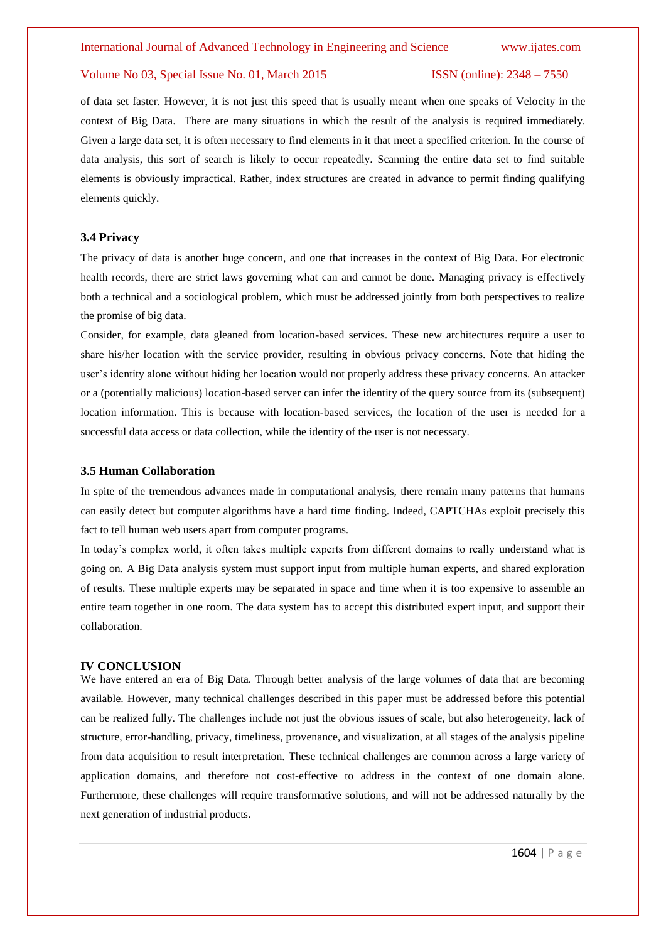of data set faster. However, it is not just this speed that is usually meant when one speaks of Velocity in the context of Big Data. There are many situations in which the result of the analysis is required immediately. Given a large data set, it is often necessary to find elements in it that meet a specified criterion. In the course of data analysis, this sort of search is likely to occur repeatedly. Scanning the entire data set to find suitable elements is obviously impractical. Rather, index structures are created in advance to permit finding qualifying elements quickly.

### **3.4 Privacy**

The privacy of data is another huge concern, and one that increases in the context of Big Data. For electronic health records, there are strict laws governing what can and cannot be done. Managing privacy is effectively both a technical and a sociological problem, which must be addressed jointly from both perspectives to realize the promise of big data.

Consider, for example, data gleaned from location-based services. These new architectures require a user to share his/her location with the service provider, resulting in obvious privacy concerns. Note that hiding the user"s identity alone without hiding her location would not properly address these privacy concerns. An attacker or a (potentially malicious) location-based server can infer the identity of the query source from its (subsequent) location information. This is because with location-based services, the location of the user is needed for a successful data access or data collection, while the identity of the user is not necessary.

### **3.5 Human Collaboration**

In spite of the tremendous advances made in computational analysis, there remain many patterns that humans can easily detect but computer algorithms have a hard time finding. Indeed, CAPTCHAs exploit precisely this fact to tell human web users apart from computer programs.

In today"s complex world, it often takes multiple experts from different domains to really understand what is going on. A Big Data analysis system must support input from multiple human experts, and shared exploration of results. These multiple experts may be separated in space and time when it is too expensive to assemble an entire team together in one room. The data system has to accept this distributed expert input, and support their collaboration.

### **IV CONCLUSION**

We have entered an era of Big Data. Through better analysis of the large volumes of data that are becoming available. However, many technical challenges described in this paper must be addressed before this potential can be realized fully. The challenges include not just the obvious issues of scale, but also heterogeneity, lack of structure, error-handling, privacy, timeliness, provenance, and visualization, at all stages of the analysis pipeline from data acquisition to result interpretation. These technical challenges are common across a large variety of application domains, and therefore not cost-effective to address in the context of one domain alone. Furthermore, these challenges will require transformative solutions, and will not be addressed naturally by the next generation of industrial products.